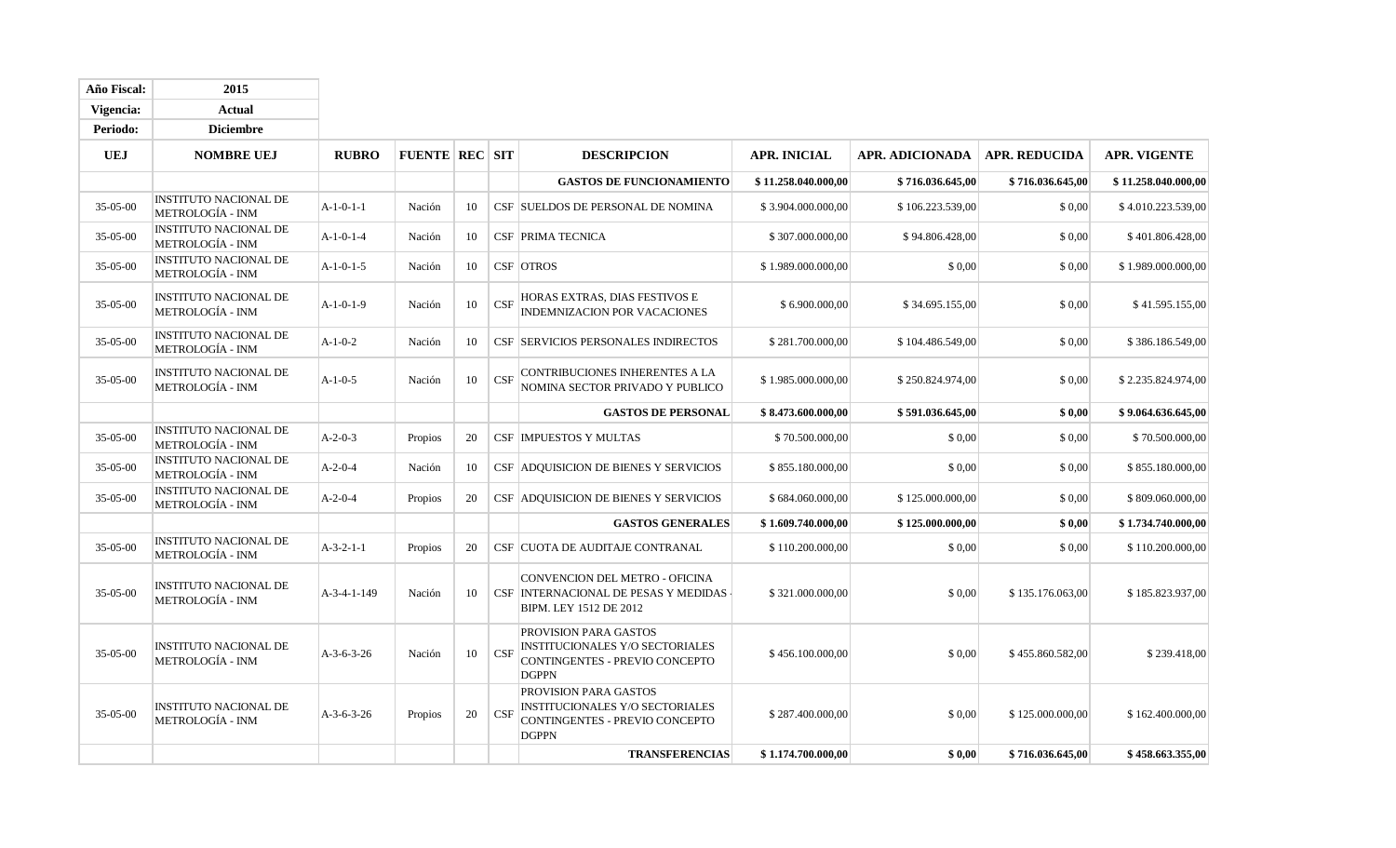| <b>Año Fiscal:</b> | 2015                                                    |              |                       |    |            |                                                                                                                          |                     |                  |                      |                     |
|--------------------|---------------------------------------------------------|--------------|-----------------------|----|------------|--------------------------------------------------------------------------------------------------------------------------|---------------------|------------------|----------------------|---------------------|
| Vigencia:          | <b>Actual</b>                                           |              |                       |    |            |                                                                                                                          |                     |                  |                      |                     |
| Periodo:           | <b>Diciembre</b>                                        |              |                       |    |            |                                                                                                                          |                     |                  |                      |                     |
| <b>UEJ</b>         | <b>NOMBRE UEJ</b>                                       | <b>RUBRO</b> | <b>FUENTE REC SIT</b> |    |            | <b>DESCRIPCION</b>                                                                                                       | <b>APR. INICIAL</b> | APR. ADICIONADA  | <b>APR. REDUCIDA</b> | <b>APR. VIGENTE</b> |
|                    |                                                         |              |                       |    |            | <b>GASTOS DE FUNCIONAMIENTO</b>                                                                                          | \$11,258,040,000,00 | \$716.036.645,00 | \$716.036.645,00     | \$11.258.040.000,00 |
| 35-05-00           | <b>INSTITUTO NACIONAL DE</b><br><b>METROLOGÍA - INM</b> | $A-1-0-1-1$  | Nación                | 10 |            | CSF SUELDOS DE PERSONAL DE NOMINA                                                                                        | \$3.904.000.000,00  | \$106.223.539,00 | \$0,00               | \$4.010.223.539,00  |
| $35 - 05 - 00$     | <b>INSTITUTO NACIONAL DE</b><br><b>METROLOGÍA - INM</b> | $A-1-0-1-4$  | Nación                | 10 |            | <b>CSF PRIMA TECNICA</b>                                                                                                 | \$307.000.000,00    | \$94.806.428,00  | \$0,00               | \$401.806.428,00    |
| 35-05-00           | <b>INSTITUTO NACIONAL DE</b><br><b>METROLOGÍA - INM</b> | $A-1-0-1-5$  | Nación                | 10 |            | <b>CSF</b> OTROS                                                                                                         | \$1.989.000.000,00  | \$0,00           | \$0,00               | \$1.989.000.000,00  |
| 35-05-00           | <b>INSTITUTO NACIONAL DE</b><br><b>METROLOGÍA - INM</b> | $A-1-0-1-9$  | Nación                | 10 | <b>CSF</b> | HORAS EXTRAS, DIAS FESTIVOS E<br>INDEMNIZACION POR VACACIONES                                                            | \$6.900.000,00      | \$34.695.155,00  | \$ 0,00              | \$41.595.155,00     |
| 35-05-00           | <b>INSTITUTO NACIONAL DE</b><br><b>METROLOGÍA - INM</b> | $A-1-0-2$    | Nación                | 10 |            | CSF SERVICIOS PERSONALES INDIRECTOS                                                                                      | \$281.700.000,00    | \$104.486.549,00 | \$0,00               | \$386.186.549,00    |
| $35 - 05 - 00$     | <b>INSTITUTO NACIONAL DE</b><br><b>METROLOGÍA - INM</b> | $A-1-0-5$    | Nación                | 10 | <b>CSF</b> | CONTRIBUCIONES INHERENTES A LA<br>NOMINA SECTOR PRIVADO Y PUBLICO                                                        | \$1.985.000.000,00  | \$250.824.974,00 | \$0,00               | \$2.235.824.974,00  |
|                    |                                                         |              |                       |    |            | <b>GASTOS DE PERSONAL</b>                                                                                                | \$8.473.600.000,00  | \$591.036.645,00 | \$0,00               | \$9.064.636.645,00  |
| 35-05-00           | <b>INSTITUTO NACIONAL DE</b><br><b>METROLOGÍA - INM</b> | $A-2-0-3$    | Propios               | 20 |            | <b>CSF   IMPUESTOS Y MULTAS</b>                                                                                          | \$70.500.000,00     | \$0,00           | \$0,00               | \$70.500.000,00     |
| 35-05-00           | <b>INSTITUTO NACIONAL DE</b><br><b>METROLOGÍA - INM</b> | $A-2-0-4$    | Nación                | 10 |            | <b>CSF ADQUISICION DE BIENES Y SERVICIOS</b>                                                                             | \$855.180.000,00    | \$0,00           | \$0,00               | \$855.180.000,00    |
| $35 - 05 - 00$     | <b>INSTITUTO NACIONAL DE</b><br>METROLOGÍA - INM        | $A-2-0-4$    | Propios               | 20 |            | CSF ADQUISICION DE BIENES Y SERVICIOS                                                                                    | \$684.060.000,00    | \$125.000.000,00 | \$0,00               | \$809.060.000,00    |
|                    |                                                         |              |                       |    |            | <b>GASTOS GENERALES</b>                                                                                                  | \$1.609.740.000,00  | \$125.000.000,00 | \$0.00               | \$1.734.740.000,00  |
| 35-05-00           | <b>INSTITUTO NACIONAL DE</b><br>METROLOGÍA - INM        | $A-3-2-1-1$  | Propios               | 20 |            | CSF CUOTA DE AUDITAJE CONTRANAL                                                                                          | \$110.200.000,00    | \$0,00           | \$0,00               | \$110.200.000,00    |
| 35-05-00           | INSTITUTO NACIONAL DE<br>METROLOGÍA - INM               | A-3-4-1-149  | Nación                | 10 |            | CONVENCION DEL METRO - OFICINA<br>CSF INTERNACIONAL DE PESAS Y MEDIDAS<br>BIPM. LEY 1512 DE 2012                         | \$321.000.000,00    | \$0,00           | \$135.176.063,00     | \$185.823.937,00    |
| 35-05-00           | INSTITUTO NACIONAL DE<br><b>METROLOGÍA - INM</b>        | $A-3-6-3-26$ | Nación                | 10 | <b>CSF</b> | <b>PROVISION PARA GASTOS</b><br><b>INSTITUCIONALES Y/O SECTORIALES</b><br>CONTINGENTES - PREVIO CONCEPTO<br><b>DGPPN</b> | \$456.100.000,00    | \$0,00           | \$455.860.582,00     | \$239.418,00        |
| 35-05-00           | <b>INSTITUTO NACIONAL DE</b><br><b>METROLOGÍA - INM</b> | $A-3-6-3-26$ | Propios               | 20 | <b>CSF</b> | PROVISION PARA GASTOS<br>INSTITUCIONALES Y/O SECTORIALES<br>CONTINGENTES - PREVIO CONCEPTO<br><b>DGPPN</b>               | \$287.400.000,00    | \$0,00           | \$125.000.000,00     | \$162.400.000,00    |
|                    |                                                         |              |                       |    |            | <b>TRANSFERENCIAS</b>                                                                                                    | \$1.174.700.000,00  | \$0,00           | \$716.036.645,00     | \$458.663.355,00    |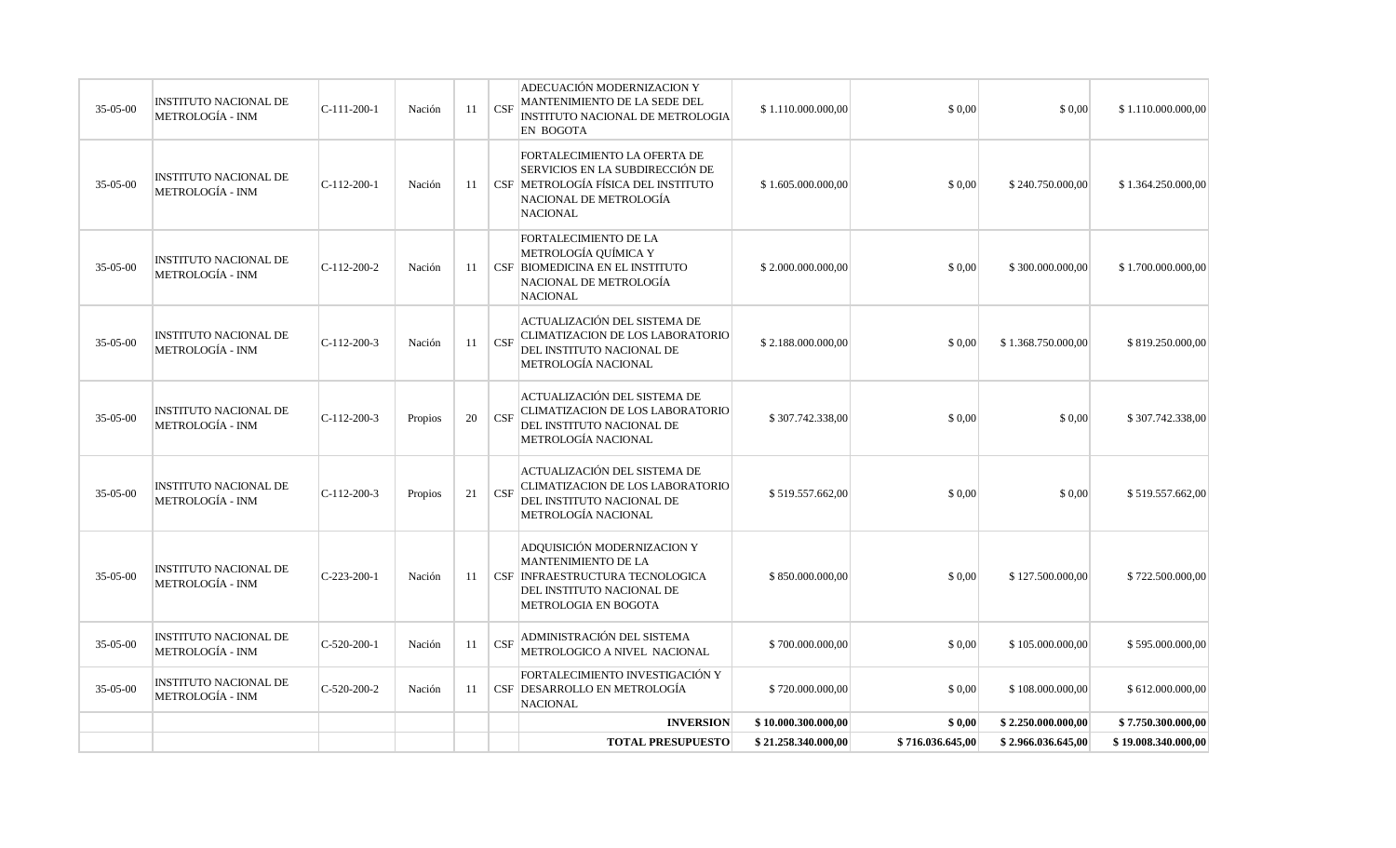|          |                                                         |               |         |    |              | <b>TOTAL PRESUPUESTO</b>                                                                                                                                | \$21.258.340.000,00 | \$716.036.645,00 | \$2.966.036.645,00 | \$19.008.340.000,00 |
|----------|---------------------------------------------------------|---------------|---------|----|--------------|---------------------------------------------------------------------------------------------------------------------------------------------------------|---------------------|------------------|--------------------|---------------------|
|          |                                                         |               |         |    |              | <b>INVERSION</b>                                                                                                                                        | \$10.000.300.000,00 | \$0,00           | \$2.250.000.000,00 | \$7.750.300.000,00  |
| 35-05-00 | <b>INSTITUTO NACIONAL DE</b><br>METROLOGÍA - INM        | $C-520-200-2$ | Nación  | 11 |              | FORTALECIMIENTO INVESTIGACIÓN Y<br>CSF DESARROLLO EN METROLOGÍA<br><b>NACIONAL</b>                                                                      | \$720.000.000,00    | \$0,00           | \$108.000.000,00   | \$612.000.000,00    |
| 35-05-00 | <b>INSTITUTO NACIONAL DE</b><br>METROLOGÍA - INM        | $C-520-200-1$ | Nación  | 11 | $\mathbf{C}$ | ADMINISTRACIÓN DEL SISTEMA<br>METROLOGICO A NIVEL NACIONAL                                                                                              | \$700.000.000,00    | \$0,00           | \$105.000.000,00   | \$595.000.000,00    |
| 35-05-00 | <b>INSTITUTO NACIONAL DE</b><br>METROLOGÍA - INM        | $C-223-200-1$ | Nación  | 11 |              | ADQUISICIÓN MODERNIZACION Y<br><b>MANTENIMIENTO DE LA</b><br>CSF INFRAESTRUCTURA TECNOLOGICA<br>DEL INSTITUTO NACIONAL DE<br>METROLOGIA EN BOGOTA       | \$850.000.000,00    | \$0,00           | \$127.500.000,00   | \$722.500.000,00    |
| 35-05-00 | <b>INSTITUTO NACIONAL DE</b><br>METROLOGÍA - INM        | $C-112-200-3$ | Propios | 21 | CSF          | ACTUALIZACIÓN DEL SISTEMA DE<br>CLIMATIZACION DE LOS LABORATORIO<br>DEL INSTITUTO NACIONAL DE<br>METROLOGÍA NACIONAL                                    | \$519.557.662,00    | \$0,00           | \$0,00             | \$519.557.662,00    |
| 35-05-00 | <b>INSTITUTO NACIONAL DE</b><br>METROLOGÍA - INM        | $C-112-200-3$ | Propios | 20 | CSF          | ACTUALIZACIÓN DEL SISTEMA DE<br>CLIMATIZACION DE LOS LABORATORIO<br>DEL INSTITUTO NACIONAL DE<br>METROLOGÍA NACIONAL                                    | \$307.742.338,00    | \$0,00           | \$0,00             | \$307.742.338,00    |
| 35-05-00 | <b>INSTITUTO NACIONAL DE</b><br><b>METROLOGÍA - INM</b> | C-112-200-3   | Nación  | 11 | $\mathbf{C}$ | ACTUALIZACIÓN DEL SISTEMA DE<br>CLIMATIZACION DE LOS LABORATORIO<br>DEL INSTITUTO NACIONAL DE<br>METROLOGÍA NACIONAL                                    | \$2.188.000.000,00  | \$0,00           | \$1.368.750.000,00 | \$819.250.000,00    |
| 35-05-00 | <b>INSTITUTO NACIONAL DE</b><br><b>METROLOGÍA - INM</b> | C-112-200-2   | Nación  | 11 |              | <b>FORTALECIMIENTO DE LA</b><br>METROLOGÍA QUÍMICA Y<br>CSF BIOMEDICINA EN EL INSTITUTO<br>NACIONAL DE METROLOGÍA<br><b>NACIONAL</b>                    | \$2.000.000.000,00  | \$0,00           | \$300.000.000,00   | \$1.700.000.000,00  |
| 35-05-00 | <b>INSTITUTO NACIONAL DE</b><br><b>METROLOGÍA - INM</b> | $C-112-200-1$ | Nación  | 11 |              | FORTALECIMIENTO LA OFERTA DE<br>SERVICIOS EN LA SUBDIRECCIÓN DE<br>  CSF   METROLOGÍA FÍSICA DEL INSTITUTO<br>NACIONAL DE METROLOGÍA<br><b>NACIONAL</b> | \$1.605.000.000,00  | \$0,00           | \$240.750.000,00   | \$1.364.250.000,00  |
| 35-05-00 | <b>INSTITUTO NACIONAL DE</b><br><b>METROLOGÍA - INM</b> | $C-111-200-1$ | Nación  | 11 | $\mathbf{C}$ | ADECUACIÓN MODERNIZACION Y<br>MANTENIMIENTO DE LA SEDE DEL<br>INSTITUTO NACIONAL DE METROLOGIA<br>EN BOGOTA                                             | \$1.110.000.000,00  | \$0,00           | \$0,00             | \$1.110.000.000,00  |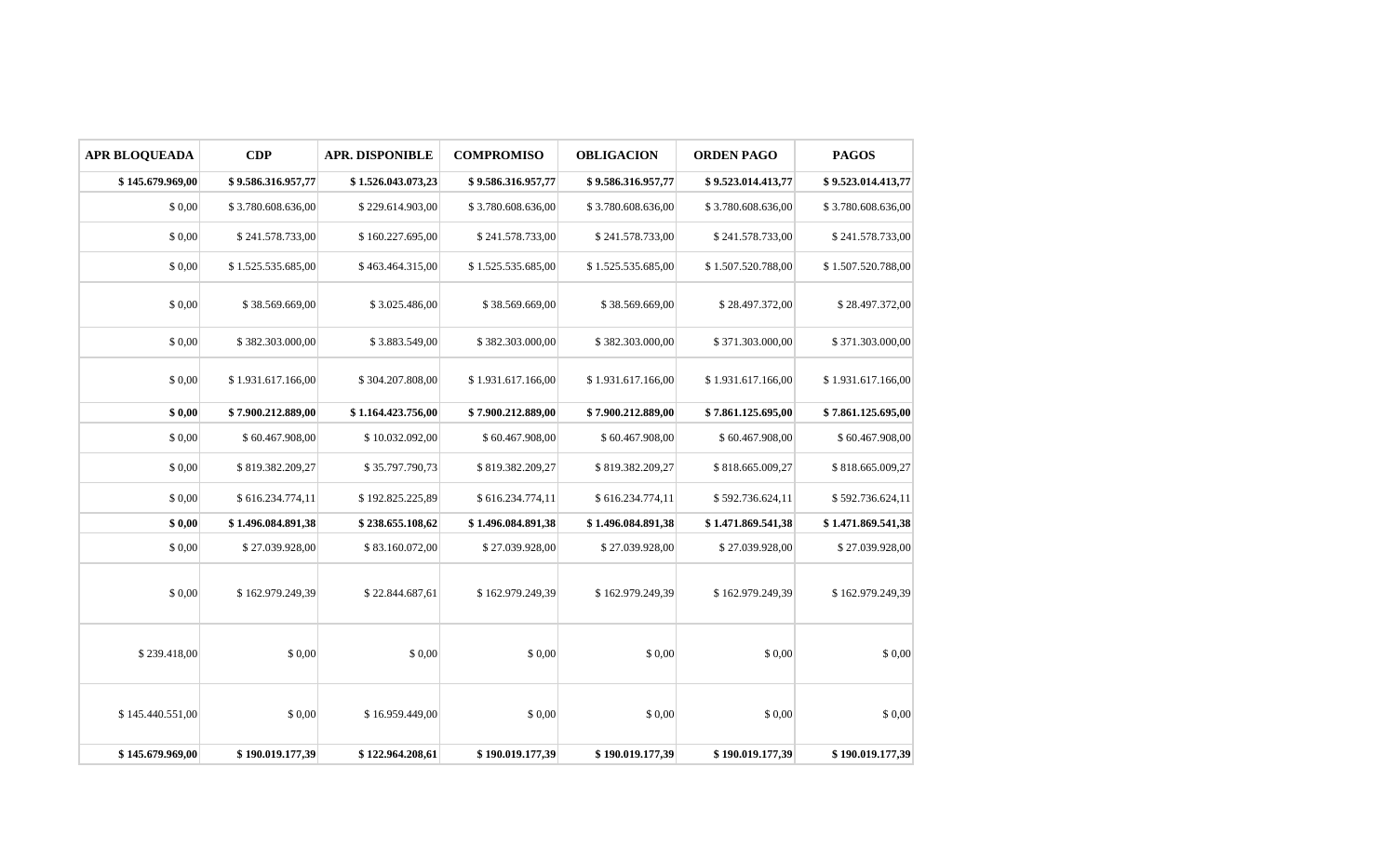| <b>APR BLOQUEADA</b> | CDP                | <b>APR. DISPONIBLE</b> | <b>COMPROMISO</b>  | <b>OBLIGACION</b>  | <b>ORDEN PAGO</b>  | <b>PAGOS</b>       |  |
|----------------------|--------------------|------------------------|--------------------|--------------------|--------------------|--------------------|--|
| \$145.679.969,00     | \$9.586.316.957,77 | \$1.526.043.073,23     | \$9.586.316.957,77 | \$9.586.316.957,77 | \$9.523.014.413,77 | \$9.523.014.413,77 |  |
| \$0,00               | \$3.780.608.636,00 | \$229.614.903,00       | \$3.780.608.636,00 | \$3.780.608.636,00 | \$3.780.608.636,00 | \$3.780.608.636,00 |  |
| \$0,00               | \$241.578.733,00   | \$160.227.695,00       | \$241.578.733,00   | \$241.578.733,00   | \$241.578.733,00   | \$241.578.733,00   |  |
| \$0,00               | \$1.525.535.685,00 | \$463.464.315,00       | \$1.525.535.685,00 | \$1.525.535.685,00 | \$1.507.520.788,00 | \$1.507.520.788,00 |  |
| \$0,00               | \$38.569.669,00    | \$3.025.486,00         | \$38.569.669,00    | \$38.569.669,00    | \$28.497.372,00    | \$28.497.372,00    |  |
| \$0,00               | \$382.303.000,00   | \$3.883.549,00         | \$382.303.000,00   | \$382.303.000,00   | \$371.303.000,00   | \$371.303.000,00   |  |
| \$0,00               | \$1.931.617.166,00 | \$304.207.808,00       | \$1.931.617.166,00 | \$1.931.617.166,00 | \$1.931.617.166,00 | \$1.931.617.166,00 |  |
| \$0,00               | \$7.900.212.889,00 | \$1.164.423.756,00     | \$7.900.212.889,00 | \$7.900.212.889,00 | \$7.861.125.695,00 | \$7.861.125.695,00 |  |
| \$0,00               | \$60.467.908,00    | \$10.032.092,00        | \$60.467.908,00    | \$60.467.908,00    | \$60.467.908,00    | \$60.467.908,00    |  |
| \$0,00               | \$819.382.209,27   | \$35.797.790,73        | \$819.382.209,27   | \$819.382.209,27   | \$818.665.009,27   | \$818.665.009,27   |  |
| \$0,00               | \$616.234.774,11   | \$192.825.225,89       | \$616.234.774,11   | \$616.234.774,11   | \$592.736.624,11   | \$592.736.624,11   |  |
| \$0,00               | \$1.496.084.891,38 | \$238.655.108,62       | \$1.496.084.891,38 | \$1.496.084.891,38 | \$1.471.869.541,38 | \$1.471.869.541,38 |  |
| \$0,00               | \$27.039.928,00    | \$83.160.072,00        | \$27.039.928,00    | \$27.039.928,00    | \$27.039.928,00    | \$27.039.928,00    |  |
| \$0,00               | \$162.979.249,39   | \$22.844.687,61        | \$162.979.249,39   | \$162.979.249,39   | \$162.979.249,39   | \$162.979.249,39   |  |
| \$239.418,00         | \$0,00             | \$0,00                 | \$0,00             | \$0,00             | \$0,00             | \$0,00             |  |
| \$145.440.551,00     | \$0,00             | \$16.959.449,00        | \$0,00             | \$0,00             | \$0,00             | \$0,00             |  |
| \$145.679.969,00     | \$190.019.177,39   | \$122,964,208,61       | \$190.019.177,39   | \$190.019.177,39   | \$190.019.177,39   | \$190.019.177,39   |  |